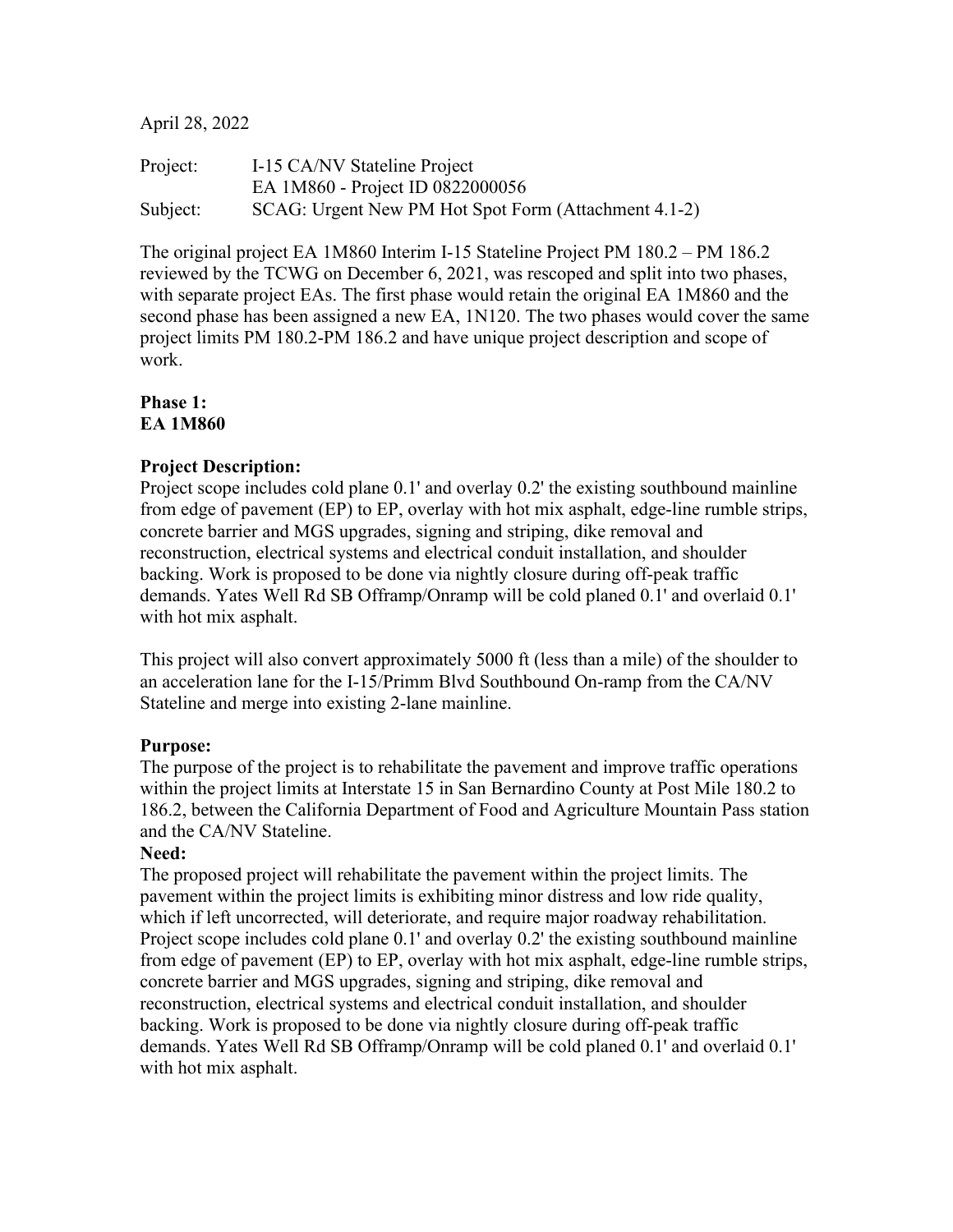April 28, 2022

Project: I-15 CA/NV Stateline Project EA 1M860 - Project ID 0822000056 Subject: SCAG: Urgent New PM Hot Spot Form (Attachment 4.1-2)

The original project EA 1M860 Interim I-15 Stateline Project PM 180.2 – PM 186.2 reviewed by the TCWG on December 6, 2021, was rescoped and split into two phases, with separate project EAs. The first phase would retain the original EA 1M860 and the second phase has been assigned a new EA, 1N120. The two phases would cover the same project limits PM 180.2-PM 186.2 and have unique project description and scope of work.

## **Phase 1: EA 1M860**

## **Project Description:**

Project scope includes cold plane 0.1' and overlay 0.2' the existing southbound mainline from edge of pavement (EP) to EP, overlay with hot mix asphalt, edge-line rumble strips, concrete barrier and MGS upgrades, signing and striping, dike removal and reconstruction, electrical systems and electrical conduit installation, and shoulder backing. Work is proposed to be done via nightly closure during off-peak traffic demands. Yates Well Rd SB Offramp/Onramp will be cold planed 0.1' and overlaid 0.1' with hot mix asphalt.

This project will also convert approximately 5000 ft (less than a mile) of the shoulder to an acceleration lane for the I-15/Primm Blvd Southbound On-ramp from the CA/NV Stateline and merge into existing 2-lane mainline.

## **Purpose:**

The purpose of the project is to rehabilitate the pavement and improve traffic operations within the project limits at Interstate 15 in San Bernardino County at Post Mile 180.2 to 186.2, between the California Department of Food and Agriculture Mountain Pass station and the CA/NV Stateline.

#### **Need:**

The proposed project will rehabilitate the pavement within the project limits. The pavement within the project limits is exhibiting minor distress and low ride quality, which if left uncorrected, will deteriorate, and require major roadway rehabilitation. Project scope includes cold plane 0.1' and overlay 0.2' the existing southbound mainline from edge of pavement (EP) to EP, overlay with hot mix asphalt, edge-line rumble strips, concrete barrier and MGS upgrades, signing and striping, dike removal and reconstruction, electrical systems and electrical conduit installation, and shoulder backing. Work is proposed to be done via nightly closure during off-peak traffic demands. Yates Well Rd SB Offramp/Onramp will be cold planed 0.1' and overlaid 0.1' with hot mix asphalt.